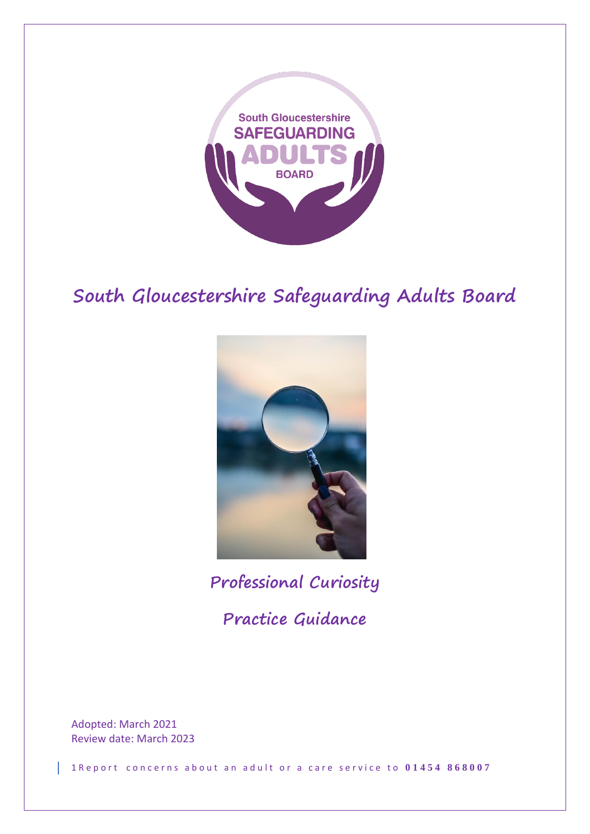

# **South Gloucestershire Safeguarding Adults Board**



**Professional Curiosity**

**Practice Guidance**

Adopted: March 2021 Review date: March 2023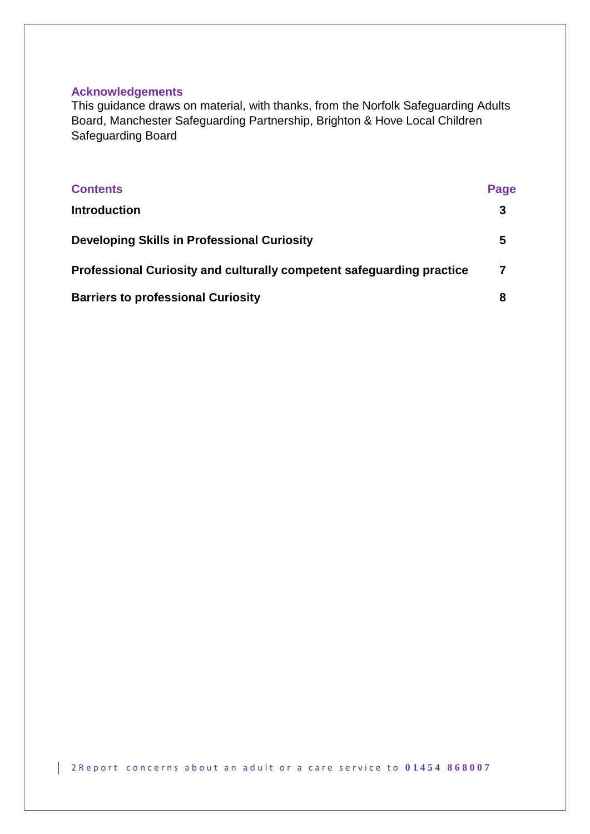#### **Acknowledgements**

This guidance draws on material, with thanks, from the Norfolk Safeguarding Adults Board, Manchester Safeguarding Partnership, Brighton & Hove Local Children Safeguarding Board

| <b>Contents</b>                                                       | Page |
|-----------------------------------------------------------------------|------|
| <b>Introduction</b><br>Developing Skills in Professional Curiosity    | 3    |
|                                                                       | 5    |
| Professional Curiosity and culturally competent safeguarding practice | 7    |
| <b>Barriers to professional Curiosity</b>                             | 8    |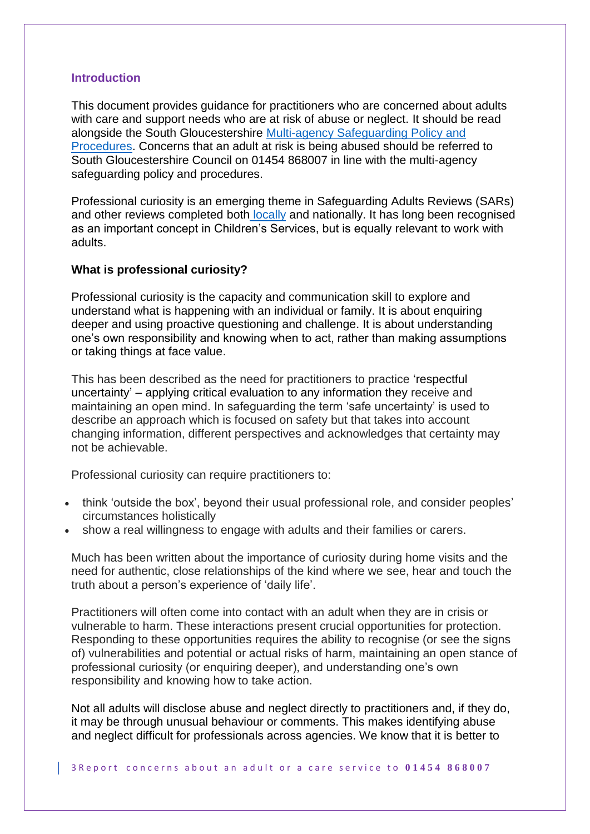#### **Introduction**

This document provides guidance for practitioners who are concerned about adults with care and support needs who are at risk of abuse or neglect. It should be read alongside the South Gloucestershire [Multi-agency Safeguarding Policy and](http://sites.southglos.gov.uk/safeguarding/adults/i-work-with-adults/policies-and-procedures/)  [Procedures.](http://sites.southglos.gov.uk/safeguarding/adults/i-work-with-adults/policies-and-procedures/) Concerns that an adult at risk is being abused should be referred to South Gloucestershire Council on 01454 868007 in line with the multi-agency safeguarding policy and procedures.

Professional curiosity is an emerging theme in Safeguarding Adults Reviews (SARs) and other reviews completed both [locally](http://sites.southglos.gov.uk/safeguarding/adults/i-work-with-adults/learning-from-practice-2/) and nationally. It has long been recognised as an important concept in Children's Services, but is equally relevant to work with adults.

#### **What is professional curiosity?**

Professional curiosity is the capacity and communication skill to explore and understand what is happening with an individual or family. It is about enquiring deeper and using proactive questioning and challenge. It is about understanding one's own responsibility and knowing when to act, rather than making assumptions or taking things at face value.

This has been described as the need for practitioners to practice 'respectful uncertainty' – applying critical evaluation to any information they receive and maintaining an open mind. In safeguarding the term 'safe uncertainty' is used to describe an approach which is focused on safety but that takes into account changing information, different perspectives and acknowledges that certainty may not be achievable.

Professional curiosity can require practitioners to:

- think 'outside the box', beyond their usual professional role, and consider peoples' circumstances holistically
- show a real willingness to engage with adults and their families or carers.

Much has been written about the importance of curiosity during home visits and the need for authentic, close relationships of the kind where we see, hear and touch the truth about a person's experience of 'daily life'.

Practitioners will often come into contact with an adult when they are in crisis or vulnerable to harm. These interactions present crucial opportunities for protection. Responding to these opportunities requires the ability to recognise (or see the signs of) vulnerabilities and potential or actual risks of harm, maintaining an open stance of professional curiosity (or enquiring deeper), and understanding one's own responsibility and knowing how to take action.

Not all adults will disclose abuse and neglect directly to practitioners and, if they do, it may be through unusual behaviour or comments. This makes identifying abuse and neglect difficult for professionals across agencies. We know that it is better to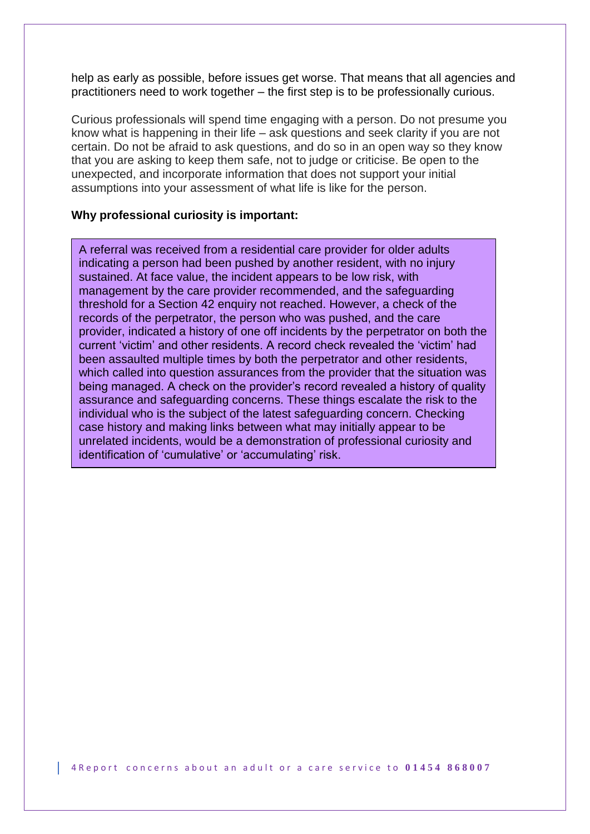help as early as possible, before issues get worse. That means that all agencies and practitioners need to work together – the first step is to be professionally curious.

Curious professionals will spend time engaging with a person. Do not presume you know what is happening in their life – ask questions and seek clarity if you are not certain. Do not be afraid to ask questions, and do so in an open way so they know that you are asking to keep them safe, not to judge or criticise. Be open to the unexpected, and incorporate information that does not support your initial assumptions into your assessment of what life is like for the person.

#### **Why professional curiosity is important:**

A referral was received from a residential care provider for older adults indicating a person had been pushed by another resident, with no injury sustained. At face value, the incident appears to be low risk, with management by the care provider recommended, and the safeguarding threshold for a Section 42 enquiry not reached. However, a check of the records of the perpetrator, the person who was pushed, and the care provider, indicated a history of one off incidents by the perpetrator on both the current 'victim' and other residents. A record check revealed the 'victim' had been assaulted multiple times by both the perpetrator and other residents, which called into question assurances from the provider that the situation was being managed. A check on the provider's record revealed a history of quality assurance and safeguarding concerns. These things escalate the risk to the individual who is the subject of the latest safeguarding concern. Checking case history and making links between what may initially appear to be unrelated incidents, would be a demonstration of professional curiosity and identification of 'cumulative' or 'accumulating' risk.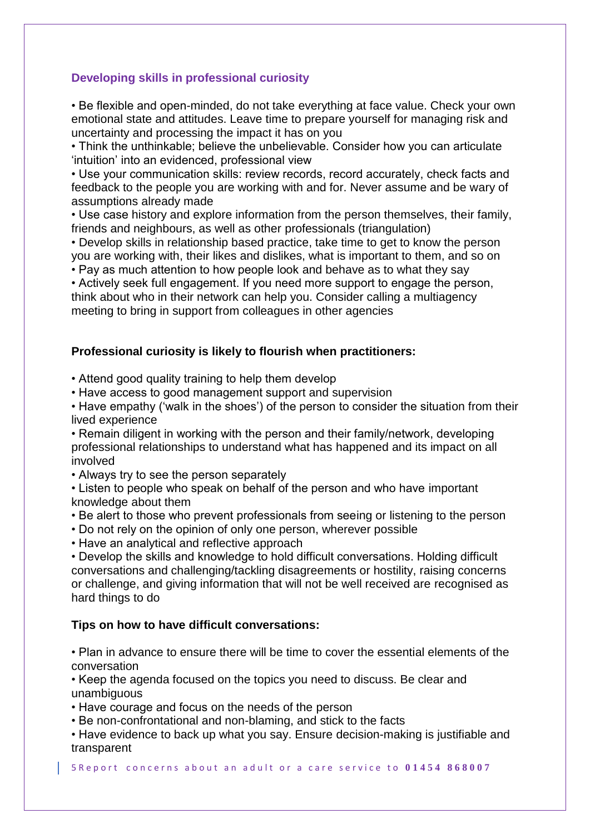## **Developing skills in professional curiosity**

• Be flexible and open-minded, do not take everything at face value. Check your own emotional state and attitudes. Leave time to prepare yourself for managing risk and uncertainty and processing the impact it has on you

• Think the unthinkable; believe the unbelievable. Consider how you can articulate 'intuition' into an evidenced, professional view

• Use your communication skills: review records, record accurately, check facts and feedback to the people you are working with and for. Never assume and be wary of assumptions already made

• Use case history and explore information from the person themselves, their family, friends and neighbours, as well as other professionals (triangulation)

• Develop skills in relationship based practice, take time to get to know the person you are working with, their likes and dislikes, what is important to them, and so on • Pay as much attention to how people look and behave as to what they say

• Actively seek full engagement. If you need more support to engage the person, think about who in their network can help you. Consider calling a multiagency meeting to bring in support from colleagues in other agencies

#### **Professional curiosity is likely to flourish when practitioners:**

• Attend good quality training to help them develop

• Have access to good management support and supervision

• Have empathy ('walk in the shoes') of the person to consider the situation from their lived experience

• Remain diligent in working with the person and their family/network, developing professional relationships to understand what has happened and its impact on all involved

• Always try to see the person separately

• Listen to people who speak on behalf of the person and who have important knowledge about them

• Be alert to those who prevent professionals from seeing or listening to the person

• Do not rely on the opinion of only one person, wherever possible

• Have an analytical and reflective approach

• Develop the skills and knowledge to hold difficult conversations. Holding difficult conversations and challenging/tackling disagreements or hostility, raising concerns or challenge, and giving information that will not be well received are recognised as hard things to do

## **Tips on how to have difficult conversations:**

• Plan in advance to ensure there will be time to cover the essential elements of the conversation

• Keep the agenda focused on the topics you need to discuss. Be clear and unambiguous

• Have courage and focus on the needs of the person

• Be non-confrontational and non-blaming, and stick to the facts

• Have evidence to back up what you say. Ensure decision-making is justifiable and transparent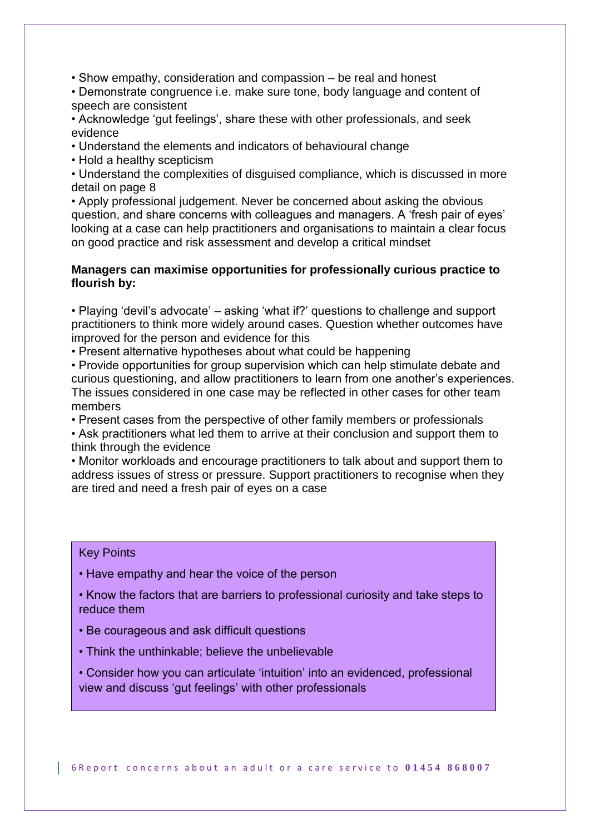• Show empathy, consideration and compassion – be real and honest

• Demonstrate congruence i.e. make sure tone, body language and content of speech are consistent

• Acknowledge 'gut feelings', share these with other professionals, and seek evidence

• Understand the elements and indicators of behavioural change

• Hold a healthy scepticism

• Understand the complexities of disguised compliance, which is discussed in more detail on page 8

• Apply professional judgement. Never be concerned about asking the obvious question, and share concerns with colleagues and managers. A 'fresh pair of eyes' looking at a case can help practitioners and organisations to maintain a clear focus on good practice and risk assessment and develop a critical mindset

### **Managers can maximise opportunities for professionally curious practice to flourish by:**

• Playing 'devil's advocate' – asking 'what if?' questions to challenge and support practitioners to think more widely around cases. Question whether outcomes have improved for the person and evidence for this

• Present alternative hypotheses about what could be happening

• Provide opportunities for group supervision which can help stimulate debate and curious questioning, and allow practitioners to learn from one another's experiences. The issues considered in one case may be reflected in other cases for other team members

• Present cases from the perspective of other family members or professionals

• Ask practitioners what led them to arrive at their conclusion and support them to think through the evidence

• Monitor workloads and encourage practitioners to talk about and support them to address issues of stress or pressure. Support practitioners to recognise when they are tired and need a fresh pair of eyes on a case

#### Key Points

- Have empathy and hear the voice of the person
- Know the factors that are barriers to professional curiosity and take steps to reduce them
- Be courageous and ask difficult questions
- Think the unthinkable; believe the unbelievable
- Consider how you can articulate 'intuition' into an evidenced, professional view and discuss 'gut feelings' with other professionals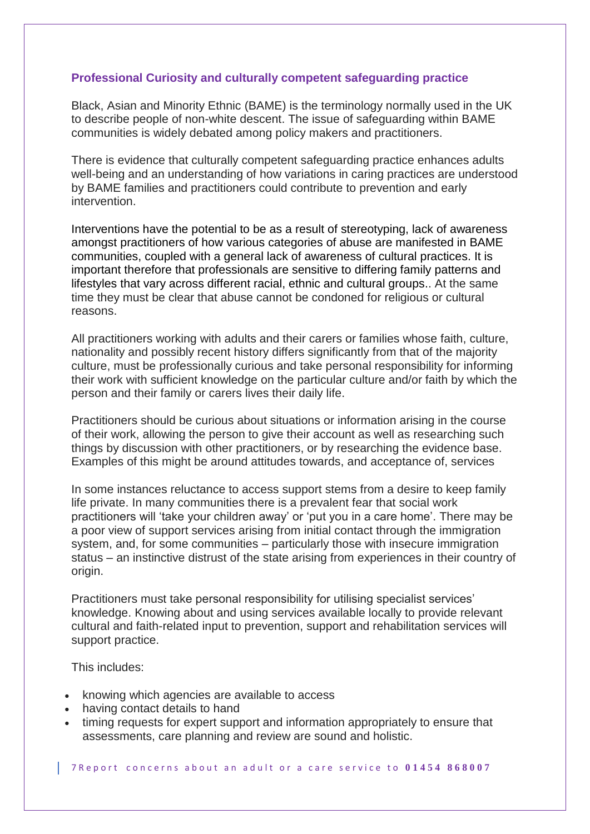## **Professional Curiosity and culturally competent safeguarding practice**

Black, Asian and Minority Ethnic (BAME) is the terminology normally used in the UK to describe people of non-white descent. The issue of safeguarding within BAME communities is widely debated among policy makers and practitioners.

There is evidence that culturally competent safeguarding practice enhances adults well-being and an understanding of how variations in caring practices are understood by BAME families and practitioners could contribute to prevention and early intervention.

Interventions have the potential to be as a result of stereotyping, lack of awareness amongst practitioners of how various categories of abuse are manifested in BAME communities, coupled with a general lack of awareness of cultural practices. It is important therefore that professionals are sensitive to differing family patterns and lifestyles that vary across different racial, ethnic and cultural groups.. At the same time they must be clear that abuse cannot be condoned for religious or cultural reasons.

All practitioners working with adults and their carers or families whose faith, culture, nationality and possibly recent history differs significantly from that of the majority culture, must be professionally curious and take personal responsibility for informing their work with sufficient knowledge on the particular culture and/or faith by which the person and their family or carers lives their daily life.

Practitioners should be curious about situations or information arising in the course of their work, allowing the person to give their account as well as researching such things by discussion with other practitioners, or by researching the evidence base. Examples of this might be around attitudes towards, and acceptance of, services

In some instances reluctance to access support stems from a desire to keep family life private. In many communities there is a prevalent fear that social work practitioners will 'take your children away' or 'put you in a care home'. There may be a poor view of support services arising from initial contact through the immigration system, and, for some communities – particularly those with insecure immigration status – an instinctive distrust of the state arising from experiences in their country of origin.

Practitioners must take personal responsibility for utilising specialist services' knowledge. Knowing about and using services available locally to provide relevant cultural and faith-related input to prevention, support and rehabilitation services will support practice.

This includes:

- knowing which agencies are available to access
- having contact details to hand
- timing requests for expert support and information appropriately to ensure that assessments, care planning and review are sound and holistic.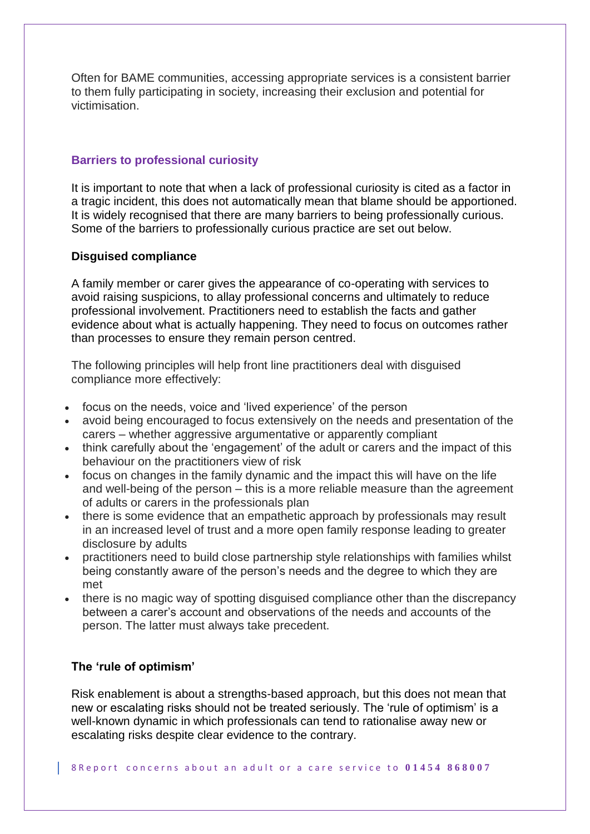Often for BAME communities, accessing appropriate services is a consistent barrier to them fully participating in society, increasing their exclusion and potential for victimisation.

#### **Barriers to professional curiosity**

It is important to note that when a lack of professional curiosity is cited as a factor in a tragic incident, this does not automatically mean that blame should be apportioned. It is widely recognised that there are many barriers to being professionally curious. Some of the barriers to professionally curious practice are set out below.

#### **Disguised compliance**

A family member or carer gives the appearance of co-operating with services to avoid raising suspicions, to allay professional concerns and ultimately to reduce professional involvement. Practitioners need to establish the facts and gather evidence about what is actually happening. They need to focus on outcomes rather than processes to ensure they remain person centred.

The following principles will help front line practitioners deal with disguised compliance more effectively:

- focus on the needs, voice and 'lived experience' of the person
- avoid being encouraged to focus extensively on the needs and presentation of the carers – whether aggressive argumentative or apparently compliant
- think carefully about the 'engagement' of the adult or carers and the impact of this behaviour on the practitioners view of risk
- focus on changes in the family dynamic and the impact this will have on the life and well-being of the person – this is a more reliable measure than the agreement of adults or carers in the professionals plan
- there is some evidence that an empathetic approach by professionals may result in an increased level of trust and a more open family response leading to greater disclosure by adults
- practitioners need to build close partnership style relationships with families whilst being constantly aware of the person's needs and the degree to which they are met
- there is no magic way of spotting disguised compliance other than the discrepancy between a carer's account and observations of the needs and accounts of the person. The latter must always take precedent.

## **The 'rule of optimism'**

Risk enablement is about a strengths-based approach, but this does not mean that new or escalating risks should not be treated seriously. The 'rule of optimism' is a well-known dynamic in which professionals can tend to rationalise away new or escalating risks despite clear evidence to the contrary.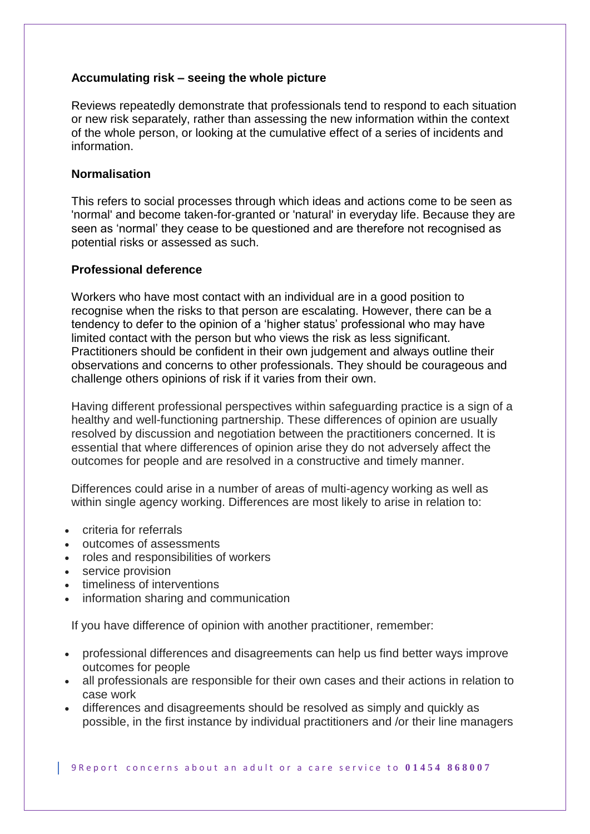## **Accumulating risk – seeing the whole picture**

Reviews repeatedly demonstrate that professionals tend to respond to each situation or new risk separately, rather than assessing the new information within the context of the whole person, or looking at the cumulative effect of a series of incidents and information.

## **Normalisation**

This refers to social processes through which ideas and actions come to be seen as 'normal' and become taken-for-granted or 'natural' in everyday life. Because they are seen as 'normal' they cease to be questioned and are therefore not recognised as potential risks or assessed as such.

### **Professional deference**

Workers who have most contact with an individual are in a good position to recognise when the risks to that person are escalating. However, there can be a tendency to defer to the opinion of a 'higher status' professional who may have limited contact with the person but who views the risk as less significant. Practitioners should be confident in their own judgement and always outline their observations and concerns to other professionals. They should be courageous and challenge others opinions of risk if it varies from their own.

Having different professional perspectives within safeguarding practice is a sign of a healthy and well-functioning partnership. These differences of opinion are usually resolved by discussion and negotiation between the practitioners concerned. It is essential that where differences of opinion arise they do not adversely affect the outcomes for people and are resolved in a constructive and timely manner.

Differences could arise in a number of areas of multi-agency working as well as within single agency working. Differences are most likely to arise in relation to:

- criteria for referrals
- outcomes of assessments
- roles and responsibilities of workers
- service provision
- timeliness of interventions
- information sharing and communication

If you have difference of opinion with another practitioner, remember:

- professional differences and disagreements can help us find better ways improve outcomes for people
- all professionals are responsible for their own cases and their actions in relation to case work
- differences and disagreements should be resolved as simply and quickly as possible, in the first instance by individual practitioners and /or their line managers